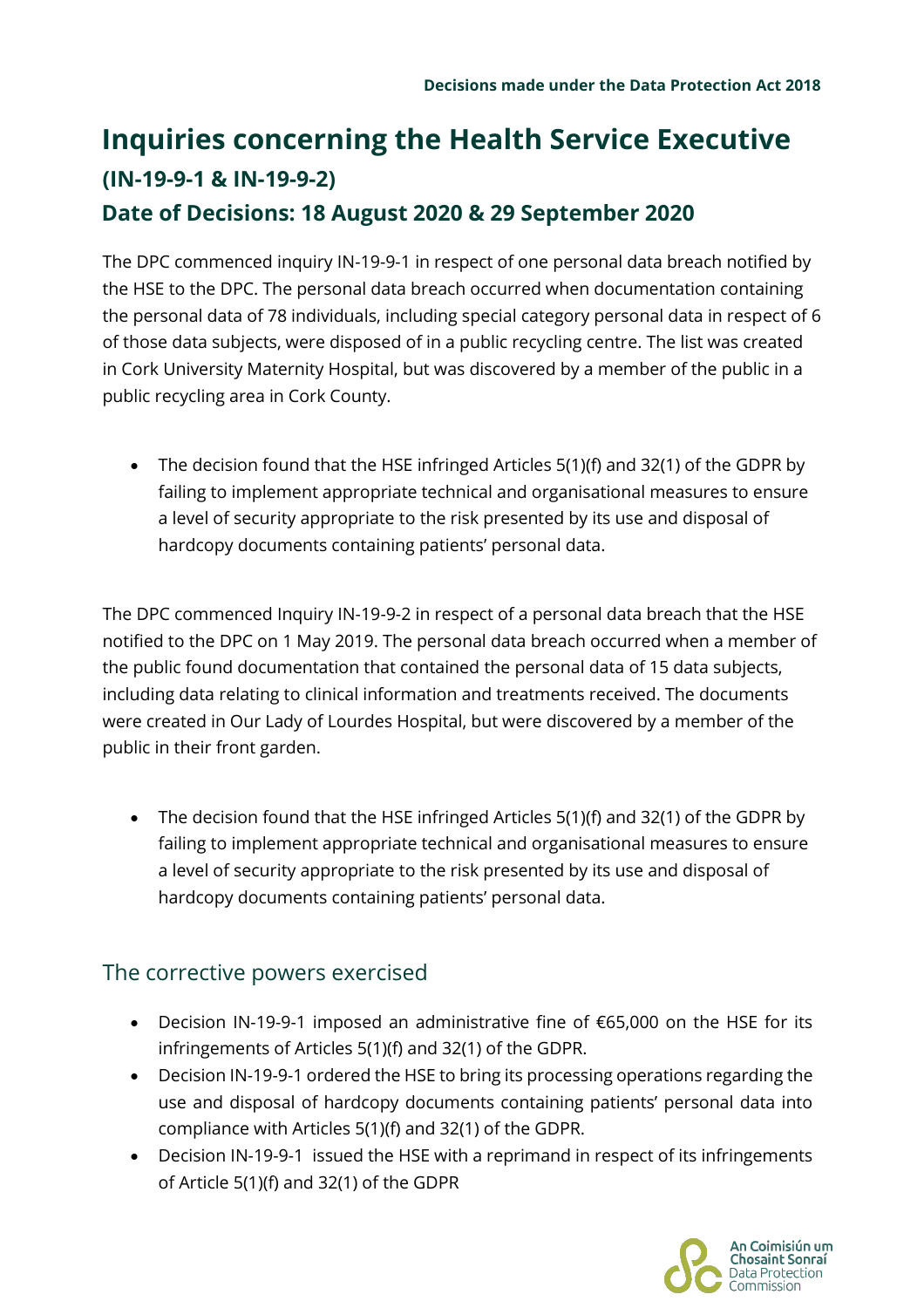## **Inquiries concerning the Health Service Executive (IN-19-9-1 & IN-19-9-2)**

## **Date of Decisions: 18 August 2020 & 29 September 2020**

The DPC commenced inquiry IN-19-9-1 in respect of one personal data breach notified by the HSE to the DPC. The personal data breach occurred when documentation containing the personal data of 78 individuals, including special category personal data in respect of 6 of those data subjects, were disposed of in a public recycling centre. The list was created in Cork University Maternity Hospital, but was discovered by a member of the public in a public recycling area in Cork County.

 The decision found that the HSE infringed Articles 5(1)(f) and 32(1) of the GDPR by failing to implement appropriate technical and organisational measures to ensure a level of security appropriate to the risk presented by its use and disposal of hardcopy documents containing patients' personal data.

The DPC commenced Inquiry IN-19-9-2 in respect of a personal data breach that the HSE notified to the DPC on 1 May 2019. The personal data breach occurred when a member of the public found documentation that contained the personal data of 15 data subjects, including data relating to clinical information and treatments received. The documents were created in Our Lady of Lourdes Hospital, but were discovered by a member of the public in their front garden.

 The decision found that the HSE infringed Articles 5(1)(f) and 32(1) of the GDPR by failing to implement appropriate technical and organisational measures to ensure a level of security appropriate to the risk presented by its use and disposal of hardcopy documents containing patients' personal data.

## The corrective powers exercised

- Decision IN-19-9-1 imposed an administrative fine of €65,000 on the HSE for its infringements of Articles 5(1)(f) and 32(1) of the GDPR.
- Decision IN-19-9-1 ordered the HSE to bring its processing operations regarding the use and disposal of hardcopy documents containing patients' personal data into compliance with Articles 5(1)(f) and 32(1) of the GDPR.
- Decision IN-19-9-1 issued the HSE with a reprimand in respect of its infringements of Article 5(1)(f) and 32(1) of the GDPR